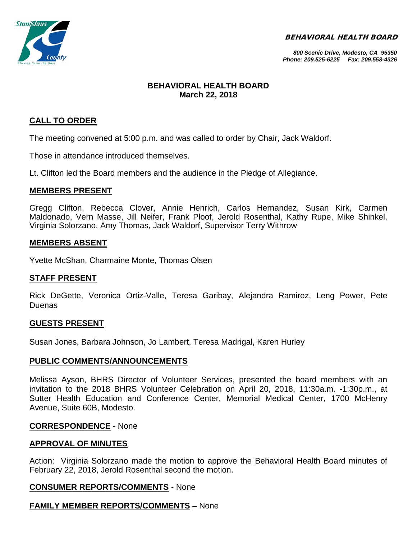BEHAVIORAL HEALTH BOARD



*800 Scenic Drive, Modesto, CA 95350 Phone: 209.525-6225 Fax: 209.558-4326*

## **BEHAVIORAL HEALTH BOARD March 22, 2018**

## **CALL TO ORDER**

The meeting convened at 5:00 p.m. and was called to order by Chair, Jack Waldorf.

Those in attendance introduced themselves.

Lt. Clifton led the Board members and the audience in the Pledge of Allegiance.

## **MEMBERS PRESENT**

Gregg Clifton, Rebecca Clover, Annie Henrich, Carlos Hernandez, Susan Kirk, Carmen Maldonado, Vern Masse, Jill Neifer, Frank Ploof, Jerold Rosenthal, Kathy Rupe, Mike Shinkel, Virginia Solorzano, Amy Thomas, Jack Waldorf, Supervisor Terry Withrow

## **MEMBERS ABSENT**

Yvette McShan, Charmaine Monte, Thomas Olsen

## **STAFF PRESENT**

Rick DeGette, Veronica Ortiz-Valle, Teresa Garibay, Alejandra Ramirez, Leng Power, Pete Duenas

### **GUESTS PRESENT**

Susan Jones, Barbara Johnson, Jo Lambert, Teresa Madrigal, Karen Hurley

### **PUBLIC COMMENTS/ANNOUNCEMENTS**

Melissa Ayson, BHRS Director of Volunteer Services, presented the board members with an invitation to the 2018 BHRS Volunteer Celebration on April 20, 2018, 11:30a.m. -1:30p.m., at Sutter Health Education and Conference Center, Memorial Medical Center, 1700 McHenry Avenue, Suite 60B, Modesto.

### **CORRESPONDENCE** - None

### **APPROVAL OF MINUTES**

Action: Virginia Solorzano made the motion to approve the Behavioral Health Board minutes of February 22, 2018, Jerold Rosenthal second the motion.

### **CONSUMER REPORTS/COMMENTS** - None

## **FAMILY MEMBER REPORTS/COMMENTS** – None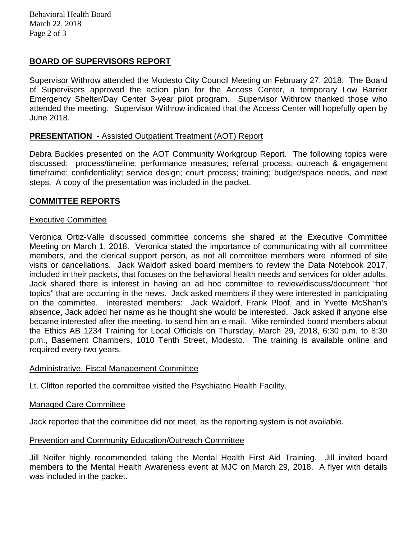# **BOARD OF SUPERVISORS REPORT**

Supervisor Withrow attended the Modesto City Council Meeting on February 27, 2018. The Board of Supervisors approved the action plan for the Access Center, a temporary Low Barrier Emergency Shelter/Day Center 3-year pilot program. Supervisor Withrow thanked those who attended the meeting. Supervisor Withrow indicated that the Access Center will hopefully open by June 2018.

## **PRESENTATION** - Assisted Outpatient Treatment (AOT) Report

Debra Buckles presented on the AOT Community Workgroup Report. The following topics were discussed: process/timeline; performance measures; referral process; outreach & engagement timeframe; confidentiality; service design; court process; training; budget/space needs, and next steps. A copy of the presentation was included in the packet.

## **COMMITTEE REPORTS**

## Executive Committee

Veronica Ortiz-Valle discussed committee concerns she shared at the Executive Committee Meeting on March 1, 2018. Veronica stated the importance of communicating with all committee members, and the clerical support person, as not all committee members were informed of site visits or cancellations. Jack Waldorf asked board members to review the Data Notebook 2017, included in their packets, that focuses on the behavioral health needs and services for older adults. Jack shared there is interest in having an ad hoc committee to review/discuss/document "hot topics" that are occurring in the news. Jack asked members if they were interested in participating on the committee. Interested members: Jack Waldorf, Frank Ploof, and in Yvette McShan's absence, Jack added her name as he thought she would be interested. Jack asked if anyone else became interested after the meeting, to send him an e-mail. Mike reminded board members about the Ethics AB 1234 Training for Local Officials on Thursday, March 29, 2018, 6:30 p.m. to 8:30 p.m., Basement Chambers, 1010 Tenth Street, Modesto. The training is available online and required every two years.

## Administrative, Fiscal Management Committee

Lt. Clifton reported the committee visited the Psychiatric Health Facility.

## Managed Care Committee

Jack reported that the committee did not meet, as the reporting system is not available.

## Prevention and Community Education/Outreach Committee

Jill Neifer highly recommended taking the Mental Health First Aid Training. Jill invited board members to the Mental Health Awareness event at MJC on March 29, 2018. A flyer with details was included in the packet.